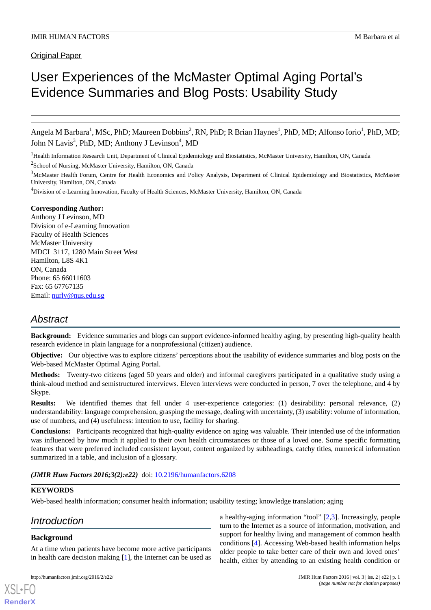Original Paper

# User Experiences of the McMaster Optimal Aging Portal's Evidence Summaries and Blog Posts: Usability Study

Angela M Barbara<sup>1</sup>, MSc, PhD; Maureen Dobbins<sup>2</sup>, RN, PhD; R Brian Haynes<sup>1</sup>, PhD, MD; Alfonso Iorio<sup>1</sup>, PhD, MD; John N Lavis<sup>3</sup>, PhD, MD; Anthony J Levinson<sup>4</sup>, MD

<sup>1</sup>Health Information Research Unit, Department of Clinical Epidemiology and Biostatistics, McMaster University, Hamilton, ON, Canada

<sup>2</sup>School of Nursing, McMaster University, Hamilton, ON, Canada

<sup>3</sup>McMaster Health Forum, Centre for Health Economics and Policy Analysis, Department of Clinical Epidemiology and Biostatistics, McMaster University, Hamilton, ON, Canada

<sup>4</sup>Division of e-Learning Innovation, Faculty of Health Sciences, McMaster University, Hamilton, ON, Canada

#### **Corresponding Author:**

Anthony J Levinson, MD Division of e-Learning Innovation Faculty of Health Sciences McMaster University MDCL 3117, 1280 Main Street West Hamilton, L8S 4K1 ON, Canada Phone: 65 66011603 Fax: 65 67767135 Email: [nurly@nus.edu.sg](mailto:nurly@nus.edu.sg)

# *Abstract*

**Background:** Evidence summaries and blogs can support evidence-informed healthy aging, by presenting high-quality health research evidence in plain language for a nonprofessional (citizen) audience.

**Objective:** Our objective was to explore citizens' perceptions about the usability of evidence summaries and blog posts on the Web-based McMaster Optimal Aging Portal.

**Methods:** Twenty-two citizens (aged 50 years and older) and informal caregivers participated in a qualitative study using a think-aloud method and semistructured interviews. Eleven interviews were conducted in person, 7 over the telephone, and 4 by Skype.

**Results:** We identified themes that fell under 4 user-experience categories: (1) desirability: personal relevance, (2) understandability: language comprehension, grasping the message, dealing with uncertainty, (3) usability: volume of information, use of numbers, and (4) usefulness: intention to use, facility for sharing.

**Conclusions:** Participants recognized that high-quality evidence on aging was valuable. Their intended use of the information was influenced by how much it applied to their own health circumstances or those of a loved one. Some specific formatting features that were preferred included consistent layout, content organized by subheadings, catchy titles, numerical information summarized in a table, and inclusion of a glossary.

*(JMIR Hum Factors 2016;3(2):e22)* doi: [10.2196/humanfactors.6208](http://dx.doi.org/10.2196/humanfactors.6208)

#### **KEYWORDS**

Web-based health information; consumer health information; usability testing; knowledge translation; aging

# *Introduction*

#### **Background**

[XSL](http://www.w3.org/Style/XSL)•FO **[RenderX](http://www.renderx.com/)**

At a time when patients have become more active participants in health care decision making [\[1](#page-10-0)], the Internet can be used as

a healthy-aging information "tool" [\[2](#page-10-1),[3\]](#page-10-2). Increasingly, people turn to the Internet as a source of information, motivation, and support for healthy living and management of common health conditions [\[4](#page-10-3)]. Accessing Web-based health information helps older people to take better care of their own and loved ones' health, either by attending to an existing health condition or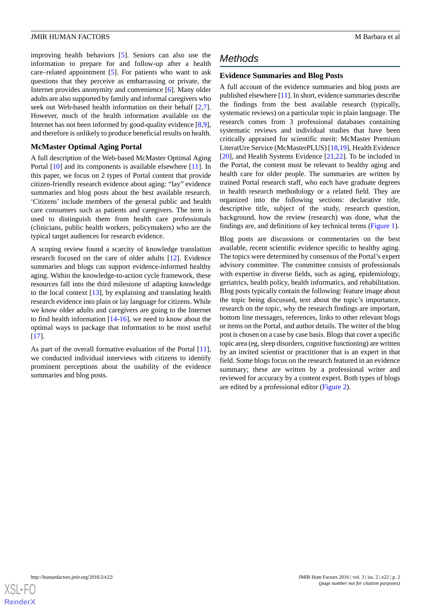improving health behaviors [\[5](#page-10-4)]. Seniors can also use the information to prepare for and follow-up after a health care–related appointment [\[5](#page-10-4)]. For patients who want to ask questions that they perceive as embarrassing or private, the Internet provides anonymity and convenience [[6\]](#page-10-5). Many older adults are also supported by family and informal caregivers who seek out Web-based health information on their behalf [\[2](#page-10-1),[7\]](#page-10-6). However, much of the health information available on the Internet has not been informed by good-quality evidence [\[8](#page-10-7),[9\]](#page-10-8), and therefore is unlikely to produce beneficial results on health.

# **McMaster Optimal Aging Portal**

A full description of the Web-based McMaster Optimal Aging Portal [[10\]](#page-10-9) and its components is available elsewhere [\[11](#page-11-0)]. In this paper, we focus on 2 types of Portal content that provide citizen-friendly research evidence about aging: "lay" evidence summaries and blog posts about the best available research. 'Citizens' include members of the general public and health care consumers such as patients and caregivers. The term is used to distinguish them from health care professionals (clinicians, public health workers, policymakers) who are the typical target audiences for research evidence.

A scoping review found a scarcity of knowledge translation research focused on the care of older adults [\[12](#page-11-1)]. Evidence summaries and blogs can support evidence-informed healthy aging. Within the knowledge-to-action cycle framework, these resources fall into the third milestone of adapting knowledge to the local context [\[13](#page-11-2)], by explaining and translating health research evidence into plain or lay language for citizens. While we know older adults and caregivers are going to the Internet to find health information  $[14-16]$  $[14-16]$  $[14-16]$  $[14-16]$ , we need to know about the optimal ways to package that information to be most useful [[17\]](#page-11-5).

As part of the overall formative evaluation of the Portal [[11\]](#page-11-0), we conducted individual interviews with citizens to identify prominent perceptions about the usability of the evidence summaries and blog posts.

# *Methods*

# **Evidence Summaries and Blog Posts**

A full account of the evidence summaries and blog posts are published elsewhere [[11\]](#page-11-0). In short, evidence summaries describe the findings from the best available research (typically, systematic reviews) on a particular topic in plain language. The research comes from 3 professional databases containing systematic reviews and individual studies that have been critically appraised for scientific merit: McMaster Premium LiteratUre Service (McMasterPLUS) [[18,](#page-11-6)[19](#page-11-7)], Health Evidence [[20\]](#page-11-8), and Health Systems Evidence [[21,](#page-11-9) [22\]](#page-11-10). To be included in the Portal, the content must be relevant to healthy aging and health care for older people. The summaries are written by trained Portal research staff, who each have graduate degrees in health research methodology or a related field. They are organized into the following sections: declarative title, descriptive title, subject of the study, research question, background, how the review (research) was done, what the findings are, and definitions of key technical terms [\(Figure 1\)](#page-2-0).

Blog posts are discussions or commentaries on the best available, recent scientific evidence specific to healthy aging. The topics were determined by consensus of the Portal's expert advisory committee. The committee consists of professionals with expertise in diverse fields, such as aging, epidemiology, geriatrics, health policy, health informatics, and rehabilitation. Blog posts typically contain the following: feature image about the topic being discussed, text about the topic's importance, research on the topic, why the research findings are important, bottom line messages, references, links to other relevant blogs or items on the Portal, and author details. The writer of the blog post is chosen on a case by case basis. Blogs that cover a specific topic area (eg, sleep disorders, cognitive functioning) are written by an invited scientist or practitioner that is an expert in that field. Some blogs focus on the research featured in an evidence summary; these are written by a professional writer and reviewed for accuracy by a content expert. Both types of blogs are edited by a professional editor [\(Figure 2\)](#page-3-0).

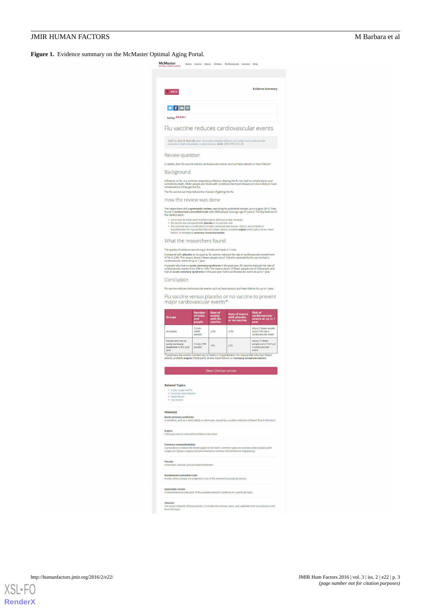<span id="page-2-0"></span>**Figure 1.** Evidence summary on the McMaster Optimal Aging Portal.

|                                                                                                                                                                                                                                                                                                                                                                |                               |                               | Home Events About Citizens Professionals Contact Help                                                                                                                                          |                                                                      |
|----------------------------------------------------------------------------------------------------------------------------------------------------------------------------------------------------------------------------------------------------------------------------------------------------------------------------------------------------------------|-------------------------------|-------------------------------|------------------------------------------------------------------------------------------------------------------------------------------------------------------------------------------------|----------------------------------------------------------------------|
|                                                                                                                                                                                                                                                                                                                                                                |                               |                               |                                                                                                                                                                                                |                                                                      |
| <b>E BACK</b>                                                                                                                                                                                                                                                                                                                                                  |                               |                               |                                                                                                                                                                                                | <b>Evidence Summary</b>                                              |
|                                                                                                                                                                                                                                                                                                                                                                |                               |                               |                                                                                                                                                                                                |                                                                      |
| $y$ f $z$ $z$<br>Rating: *****                                                                                                                                                                                                                                                                                                                                 |                               |                               |                                                                                                                                                                                                |                                                                      |
|                                                                                                                                                                                                                                                                                                                                                                |                               |                               |                                                                                                                                                                                                |                                                                      |
| Flu vaccine reduces cardiovascular events                                                                                                                                                                                                                                                                                                                      |                               |                               |                                                                                                                                                                                                |                                                                      |
| outcomes in high-risk patients: a meta-analysis. JAMA. 2013;310:1711-20.                                                                                                                                                                                                                                                                                       |                               |                               | Udell JA, Zawt R, Bhatt DL, et al. Association between influenza vaccination and cardiovascular                                                                                                |                                                                      |
| Review question                                                                                                                                                                                                                                                                                                                                                |                               |                               |                                                                                                                                                                                                |                                                                      |
| In adults, does flu vaccine reduce cardiovascular events, such as heart attacks or heart failure?                                                                                                                                                                                                                                                              |                               |                               |                                                                                                                                                                                                |                                                                      |
| Background<br>Influenza, or flu, is a common respiratory infection. Having the flu can lead to complications and<br>sometimes death. Older people and those with conditions like heart disease are more likely to have                                                                                                                                         |                               |                               |                                                                                                                                                                                                |                                                                      |
| complications if they get the flu.<br>The flu vaccine can help reduce the chances of getting the flu.                                                                                                                                                                                                                                                          |                               |                               |                                                                                                                                                                                                |                                                                      |
| How the review was done                                                                                                                                                                                                                                                                                                                                        |                               |                               |                                                                                                                                                                                                |                                                                      |
| The researchers did a systematic review, searching for published studies up to August 2013. They<br>found 5 randomized controlled trials with 6469 people (average age 67 years). The key features of<br>the studies were:                                                                                                                                     |                               |                               |                                                                                                                                                                                                |                                                                      |
| o more than 50 adults were involved (about 36% had cardiac disease):<br>o flu vaccine was compared with placebo or no vaccine; and<br>$\circ$<br>failure, or emergency coronary revascularization.                                                                                                                                                             |                               |                               | the outcome was a combination of major cardiovascular events-that is, any of death or<br>hospitalization for myocardial infarction (heart attack), unstable angina (chest pain), stroke, heart |                                                                      |
| What the researchers found                                                                                                                                                                                                                                                                                                                                     |                               |                               |                                                                                                                                                                                                |                                                                      |
| The quality of evidence was strong in 4 trials and weak in 1 trial.                                                                                                                                                                                                                                                                                            |                               |                               |                                                                                                                                                                                                |                                                                      |
| Compared with placebo or no vaccine, flu vaccine reduced the rate of cardiovascular events from<br>4.7% to 2.9%. This means about 2 fewer people out of 100 who received the flu vaccine had a<br>cardiovascular event at up to 1 year.                                                                                                                        |                               |                               |                                                                                                                                                                                                |                                                                      |
| In people who had an <b>acute coronary syndrome</b> in the past year, flu vaccine reduced the rate of<br>cardiovascular events from 23% to 10%. The means about 13 fewer people out of 100 people who                                                                                                                                                          |                               |                               |                                                                                                                                                                                                |                                                                      |
| had an acute coronary syndrome in the past year had a cardiovascular event at up to 1 year.<br>Conclusion                                                                                                                                                                                                                                                      |                               |                               |                                                                                                                                                                                                |                                                                      |
| Flu vaccine versus placebo or no vaccine to prevent<br>major cardiovascular events*                                                                                                                                                                                                                                                                            | <b>Number</b><br>of trials    | <b>Rate of</b>                |                                                                                                                                                                                                | Risk of<br>cardiovascular<br>events at up to 1                       |
| <b>Groups</b>                                                                                                                                                                                                                                                                                                                                                  | and<br>people                 | events<br>with flu<br>vaccine | Rate of events<br>with placebo<br>or no vaccine                                                                                                                                                |                                                                      |
|                                                                                                                                                                                                                                                                                                                                                                |                               |                               |                                                                                                                                                                                                | year                                                                 |
| All people                                                                                                                                                                                                                                                                                                                                                     | 5 trials<br>(6469)<br>people) | 2.9%                          | 4.7%                                                                                                                                                                                           | About 2 fewer people<br>out of 100 had a<br>cardiovascular event     |
| People who had an<br>acute coronary<br>syndrome in the past<br>year                                                                                                                                                                                                                                                                                            | 3 trials (789<br>people)      | 10%                           | 23%                                                                                                                                                                                            | About 13 fewer<br>people out of 100 had<br>a cardiovascular<br>event |
| Cardiovascular events included any of death or hospitalization for myocardial infarction (heart                                                                                                                                                                                                                                                                |                               |                               |                                                                                                                                                                                                |                                                                      |
| attack), unstable angina (chest pain), stroke, heart failure, or coronary revascularization.                                                                                                                                                                                                                                                                   |                               |                               |                                                                                                                                                                                                |                                                                      |
|                                                                                                                                                                                                                                                                                                                                                                |                               | <b>View Clinician article</b> |                                                                                                                                                                                                |                                                                      |
|                                                                                                                                                                                                                                                                                                                                                                |                               |                               |                                                                                                                                                                                                |                                                                      |
| · Colds, cough and flu<br>· Coronary heart disease<br>· Heart failure                                                                                                                                                                                                                                                                                          |                               |                               |                                                                                                                                                                                                |                                                                      |
| · Vaccination                                                                                                                                                                                                                                                                                                                                                  |                               |                               |                                                                                                                                                                                                |                                                                      |
|                                                                                                                                                                                                                                                                                                                                                                |                               |                               |                                                                                                                                                                                                |                                                                      |
| <b>Related Topics</b><br>Glossary<br><b>Acute coronary syndrome</b><br>A condition, such as a heart attack or chest pain, caused by a sudden reduction of blood flow to the heart.                                                                                                                                                                             |                               |                               |                                                                                                                                                                                                |                                                                      |
|                                                                                                                                                                                                                                                                                                                                                                |                               |                               |                                                                                                                                                                                                |                                                                      |
|                                                                                                                                                                                                                                                                                                                                                                |                               |                               |                                                                                                                                                                                                |                                                                      |
| Angina<br>Chest pain due to reduced blood flow to the heart.<br><b>Coronary revascularization</b><br>A procedure to restore the blood supply to the heart. Common types are coronary artery bypass graft<br>surgery (or bypass surgery) and percuntaneous coronary intervention (or angioplasty).<br>Placebo<br>A harmless, inactive, and simulated treatment. |                               |                               |                                                                                                                                                                                                |                                                                      |
|                                                                                                                                                                                                                                                                                                                                                                |                               |                               |                                                                                                                                                                                                |                                                                      |
| <b>Randomized controlled trials</b><br>Studies where people are assigned to one of the treatments purely by chance.<br><b>Systematic review</b><br>A comprehensive evaluation of the available research evidence on a particular topic.                                                                                                                        |                               |                               |                                                                                                                                                                                                |                                                                      |

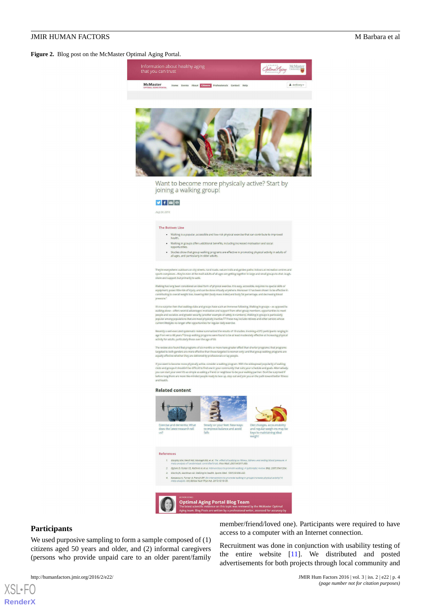<span id="page-3-0"></span>**Figure 2.** Blog post on the McMaster Optimal Aging Portal.



equally effective whether they are delivered by professionals or lay people.<br>If you want to become more physically active consider a walking program. With the widespread popularity of wal<br>clubs and groups it shouldn't be d

#### **Related content**



![](_page_3_Picture_7.jpeg)

#### References 1. Murphy MH. Nevill AM, Murtagh EM, et al. The effect of walking on fitness, fatness and res 2. Ogilvie D. Foster CE. Rothnie H. et al. Interventions to promote walking: A sys ew. BML 2007:334:120-Enterprise Contains the Contains of the Space Medicine Contains (National Action 2013)<br>3. Morris JN, Hardman AE, Walking to health, Sports Med. 1997;23:306-332.<br>4. Kassavou A. Turner A. French DP. Do interventions to promo

ote walking in g

![](_page_3_Picture_11.jpeg)

#### **Participants**

[XSL](http://www.w3.org/Style/XSL)•FO **[RenderX](http://www.renderx.com/)**

We used purposive sampling to form a sample composed of (1) citizens aged 50 years and older, and (2) informal caregivers (persons who provide unpaid care to an older parent/family

member/friend/loved one). Participants were required to have access to a computer with an Internet connection.

Recruitment was done in conjunction with usability testing of the entire website  $[11]$  $[11]$ . We distributed and posted advertisements for both projects through local community and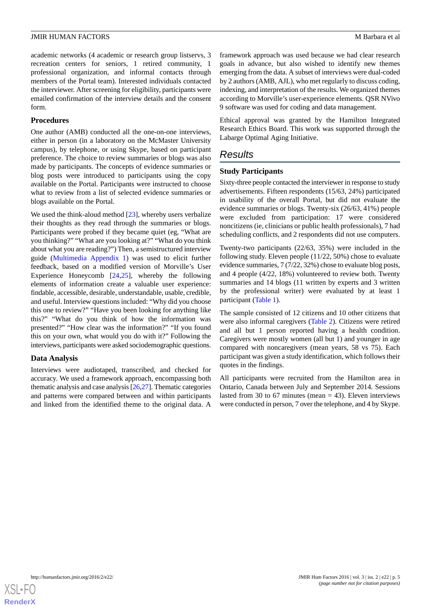academic networks (4 academic or research group listservs, 3 recreation centers for seniors, 1 retired community, 1 professional organization, and informal contacts through members of the Portal team). Interested individuals contacted the interviewer. After screening for eligibility, participants were emailed confirmation of the interview details and the consent form.

#### **Procedures**

One author (AMB) conducted all the one-on-one interviews, either in person (in a laboratory on the McMaster University campus), by telephone, or using Skype, based on participant preference. The choice to review summaries or blogs was also made by participants. The concepts of evidence summaries or blog posts were introduced to participants using the copy available on the Portal. Participants were instructed to choose what to review from a list of selected evidence summaries or blogs available on the Portal.

We used the think-aloud method [\[23](#page-11-11)], whereby users verbalize their thoughts as they read through the summaries or blogs. Participants were probed if they became quiet (eg, "What are you thinking?" "What are you looking at?" "What do you think about what you are reading?") Then, a semistructured interview guide [\(Multimedia Appendix 1](#page-10-10)) was used to elicit further feedback, based on a modified version of Morville's User Experience Honeycomb [[24](#page-11-12)[,25](#page-11-13)], whereby the following elements of information create a valuable user experience: findable, accessible, desirable, understandable, usable, credible, and useful. Interview questions included: "Why did you choose this one to review?" "Have you been looking for anything like this?" "What do you think of how the information was presented?" "How clear was the information?" "If you found this on your own, what would you do with it?" Following the interviews, participants were asked sociodemographic questions.

#### **Data Analysis**

Interviews were audiotaped, transcribed, and checked for accuracy. We used a framework approach, encompassing both thematic analysis and case analysis [\[26](#page-11-14),[27](#page-11-15)]. Thematic categories and patterns were compared between and within participants and linked from the identified theme to the original data. A

framework approach was used because we had clear research goals in advance, but also wished to identify new themes emerging from the data. A subset of interviews were dual-coded by 2 authors (AMB, AJL), who met regularly to discuss coding, indexing, and interpretation of the results. We organized themes according to Morville's user-experience elements. QSR NVivo 9 software was used for coding and data management.

Ethical approval was granted by the Hamilton Integrated Research Ethics Board. This work was supported through the Labarge Optimal Aging Initiative.

# *Results*

#### **Study Participants**

Sixty-three people contacted the interviewer in response to study advertisements. Fifteen respondents (15/63, 24%) participated in usability of the overall Portal, but did not evaluate the evidence summaries or blogs. Twenty-six (26/63, 41%) people were excluded from participation: 17 were considered noncitizens (ie, clinicians or public health professionals), 7 had scheduling conflicts, and 2 respondents did not use computers.

Twenty-two participants (22/63, 35%) were included in the following study. Eleven people (11/22, 50%) chose to evaluate evidence summaries, 7 (7/22, 32%) chose to evaluate blog posts, and 4 people (4/22, 18%) volunteered to review both. Twenty summaries and 14 blogs (11 written by experts and 3 written by the professional writer) were evaluated by at least 1 participant [\(Table 1\)](#page-5-0).

The sample consisted of 12 citizens and 10 other citizens that were also informal caregivers ([Table 2\)](#page-6-0). Citizens were retired and all but 1 person reported having a health condition. Caregivers were mostly women (all but 1) and younger in age compared with noncaregivers (mean years, 58 vs 75). Each participant was given a study identification, which follows their quotes in the findings.

All participants were recruited from the Hamilton area in Ontario, Canada between July and September 2014. Sessions lasted from 30 to 67 minutes (mean  $=$  43). Eleven interviews were conducted in person, 7 over the telephone, and 4 by Skype.

![](_page_4_Picture_16.jpeg)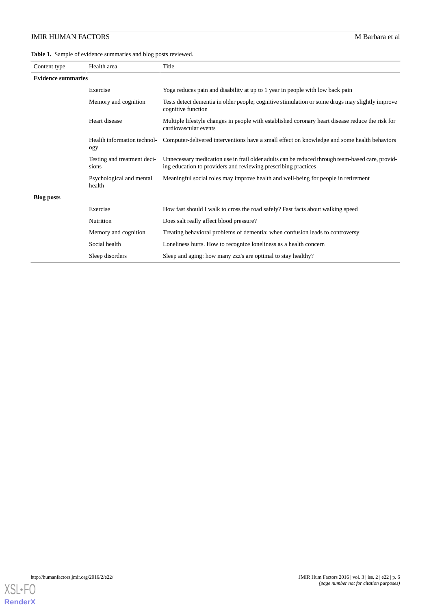<span id="page-5-0"></span>**Table 1.** Sample of evidence summaries and blog posts reviewed.

| Content type              | Health area                          | Title                                                                                                                                                              |  |  |
|---------------------------|--------------------------------------|--------------------------------------------------------------------------------------------------------------------------------------------------------------------|--|--|
| <b>Evidence summaries</b> |                                      |                                                                                                                                                                    |  |  |
|                           | Exercise                             | Yoga reduces pain and disability at up to 1 year in people with low back pain                                                                                      |  |  |
|                           | Memory and cognition                 | Tests detect dementia in older people; cognitive stimulation or some drugs may slightly improve<br>cognitive function                                              |  |  |
|                           | Heart disease                        | Multiple lifestyle changes in people with established coronary heart disease reduce the risk for<br>cardiovascular events                                          |  |  |
|                           | Health information technol-<br>ogy   | Computer-delivered interventions have a small effect on knowledge and some health behaviors                                                                        |  |  |
|                           | Testing and treatment deci-<br>sions | Unnecessary medication use in frail older adults can be reduced through team-based care, provid-<br>ing education to providers and reviewing prescribing practices |  |  |
|                           | Psychological and mental<br>health   | Meaningful social roles may improve health and well-being for people in retirement                                                                                 |  |  |
| <b>Blog posts</b>         |                                      |                                                                                                                                                                    |  |  |
|                           | Exercise                             | How fast should I walk to cross the road safely? Fast facts about walking speed                                                                                    |  |  |
|                           | Nutrition                            | Does salt really affect blood pressure?                                                                                                                            |  |  |
|                           | Memory and cognition                 | Treating behavioral problems of dementia: when confusion leads to controversy                                                                                      |  |  |
|                           | Social health                        | Loneliness hurts. How to recognize loneliness as a health concern                                                                                                  |  |  |
|                           | Sleep disorders                      | Sleep and aging: how many zzz's are optimal to stay healthy?                                                                                                       |  |  |

![](_page_5_Picture_4.jpeg)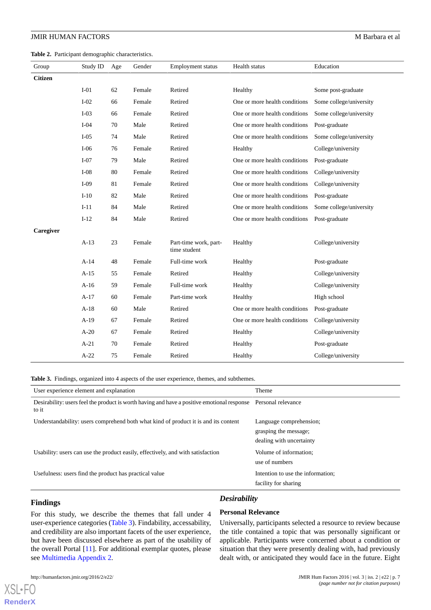<span id="page-6-0"></span>**Table 2.** Participant demographic characteristics.

| Group          | Study ID | Age | Gender | <b>Employment status</b>              | Health status                 | Education               |
|----------------|----------|-----|--------|---------------------------------------|-------------------------------|-------------------------|
| <b>Citizen</b> |          |     |        |                                       |                               |                         |
|                | $I-01$   | 62  | Female | Retired                               | Healthy                       | Some post-graduate      |
|                | $I-02$   | 66  | Female | Retired                               | One or more health conditions | Some college/university |
|                | $I-03$   | 66  | Female | Retired                               | One or more health conditions | Some college/university |
|                | $I-04$   | 70  | Male   | Retired                               | One or more health conditions | Post-graduate           |
|                | $I-05$   | 74  | Male   | Retired                               | One or more health conditions | Some college/university |
|                | $I-06$   | 76  | Female | Retired                               | Healthy                       | College/university      |
|                | $I-07$   | 79  | Male   | Retired                               | One or more health conditions | Post-graduate           |
|                | $I-08$   | 80  | Female | Retired                               | One or more health conditions | College/university      |
|                | $I-09$   | 81  | Female | Retired                               | One or more health conditions | College/university      |
|                | $I-10$   | 82  | Male   | Retired                               | One or more health conditions | Post-graduate           |
|                | $I-11$   | 84  | Male   | Retired                               | One or more health conditions | Some college/university |
|                | $I-12$   | 84  | Male   | Retired                               | One or more health conditions | Post-graduate           |
| Caregiver      |          |     |        |                                       |                               |                         |
|                | $A-13$   | 23  | Female | Part-time work, part-<br>time student | Healthy                       | College/university      |
|                | $A-14$   | 48  | Female | Full-time work                        | Healthy                       | Post-graduate           |
|                | $A-15$   | 55  | Female | Retired                               | Healthy                       | College/university      |
|                | $A-16$   | 59  | Female | Full-time work                        | Healthy                       | College/university      |
|                | $A-17$   | 60  | Female | Part-time work                        | Healthy                       | High school             |
|                | $A-18$   | 60  | Male   | Retired                               | One or more health conditions | Post-graduate           |
|                | $A-19$   | 67  | Female | Retired                               | One or more health conditions | College/university      |
|                | $A-20$   | 67  | Female | Retired                               | Healthy                       | College/university      |
|                | $A-21$   | 70  | Female | Retired                               | Healthy                       | Post-graduate           |
|                | $A-22$   | 75  | Female | Retired                               | Healthy                       | College/university      |

<span id="page-6-1"></span>**Table 3.** Findings, organized into 4 aspects of the user experience, themes, and subthemes.

| User experience element and explanation                                                                                 | Theme                                                                        |
|-------------------------------------------------------------------------------------------------------------------------|------------------------------------------------------------------------------|
| Desirability: users feel the product is worth having and have a positive emotional response Personal relevance<br>to it |                                                                              |
| Understandability: users comprehend both what kind of product it is and its content                                     | Language comprehension;<br>grasping the message;<br>dealing with uncertainty |
| Usability: users can use the product easily, effectively, and with satisfaction                                         | Volume of information;<br>use of numbers                                     |
| Usefulness: users find the product has practical value                                                                  | Intention to use the information:<br>facility for sharing                    |

# **Findings**

[XSL](http://www.w3.org/Style/XSL)•FO **[RenderX](http://www.renderx.com/)**

## *Desirability*

For this study, we describe the themes that fall under 4 user-experience categories ([Table 3\)](#page-6-1). Findability, accessability, and credibility are also important facets of the user experience, but have been discussed elsewhere as part of the usability of the overall Portal [[11\]](#page-11-0). For additional exemplar quotes, please see [Multimedia Appendix 2.](#page-10-11)

# **Personal Relevance**

Universally, participants selected a resource to review because the title contained a topic that was personally significant or applicable. Participants were concerned about a condition or situation that they were presently dealing with, had previously dealt with, or anticipated they would face in the future. Eight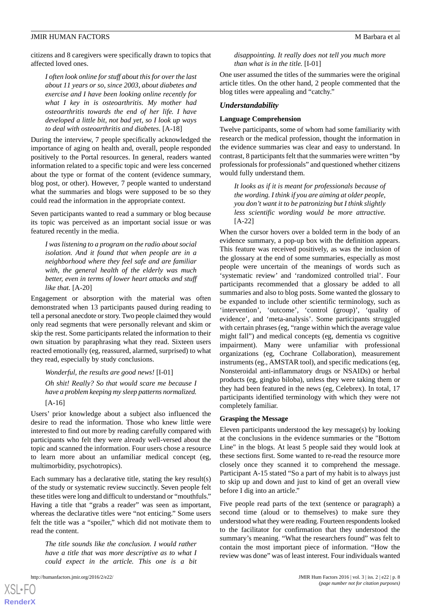citizens and 8 caregivers were specifically drawn to topics that affected loved ones.

*I often look online for stuff about this for over the last about 11 years or so, since 2003, about diabetes and exercise and I have been looking online recently for what I key in is osteoarthritis. My mother had osteoarthritis towards the end of her life. I have developed a little bit, not bad yet, so I look up ways to deal with osteoarthritis and diabetes.* [A-18]

During the interview, 7 people specifically acknowledged the importance of aging on health and, overall, people responded positively to the Portal resources. In general, readers wanted information related to a specific topic and were less concerned about the type or format of the content (evidence summary, blog post, or other). However, 7 people wanted to understand what the summaries and blogs were supposed to be so they could read the information in the appropriate context.

Seven participants wanted to read a summary or blog because its topic was perceived as an important social issue or was featured recently in the media.

*I was listening to a program on the radio about social isolation. And it found that when people are in a neighborhood where they feel safe and are familiar with, the general health of the elderly was much better, even in terms of lower heart attacks and stuff like that.* [A-20]

Engagement or absorption with the material was often demonstrated when 13 participants paused during reading to tell a personal anecdote or story. Two people claimed they would only read segments that were personally relevant and skim or skip the rest. Some participants related the information to their own situation by paraphrasing what they read. Sixteen users reacted emotionally (eg, reassured, alarmed, surprised) to what they read, especially by study conclusions.

*Wonderful, the results are good news!* [I-01] *Oh shit! Really? So that would scare me because I have a problem keeping my sleep patterns normalized.* [A-16]

Users' prior knowledge about a subject also influenced the desire to read the information. Those who knew little were interested to find out more by reading carefully compared with participants who felt they were already well-versed about the topic and scanned the information. Four users chose a resource to learn more about an unfamiliar medical concept (eg, multimorbidity, psychotropics).

Each summary has a declarative title, stating the key result(s) of the study or systematic review succinctly. Seven people felt these titles were long and difficult to understand or "mouthfuls." Having a title that "grabs a reader" was seen as important, whereas the declarative titles were "not enticing." Some users felt the title was a "spoiler," which did not motivate them to read the content.

*The title sounds like the conclusion. I would rather have a title that was more descriptive as to what I could expect in the article. This one is a bit*

[XSL](http://www.w3.org/Style/XSL)•FO **[RenderX](http://www.renderx.com/)**

*disappointing. It really does not tell you much more than what is in the title.* [I-01]

One user assumed the titles of the summaries were the original article titles. On the other hand, 2 people commented that the blog titles were appealing and "catchy."

#### *Understandability*

#### **Language Comprehension**

Twelve participants, some of whom had some familiarity with research or the medical profession, thought the information in the evidence summaries was clear and easy to understand. In contrast, 8 participants felt that the summaries were written "by professionals for professionals" and questioned whether citizens would fully understand them.

*It looks as if it is meant for professionals because of the wording. I think if you are aiming at older people, you don't want it to be patronizing but I think slightly less scientific wording would be more attractive.* [A-22]

When the cursor hovers over a bolded term in the body of an evidence summary, a pop-up box with the definition appears. This feature was received positively, as was the inclusion of the glossary at the end of some summaries, especially as most people were uncertain of the meanings of words such as 'systematic review' and 'randomized controlled trial'. Four participants recommended that a glossary be added to all summaries and also to blog posts. Some wanted the glossary to be expanded to include other scientific terminology, such as 'intervention', 'outcome', 'control (group)', 'quality of evidence', and 'meta-analysis'. Some participants struggled with certain phrases (eg, "range within which the average value might fall") and medical concepts (eg, dementia vs cognitive impairment). Many were unfamiliar with professional organizations (eg, Cochrane Collaboration), measurement instruments (eg., AMSTAR tool), and specific medications (eg, Nonsteroidal anti-inflammatory drugs or NSAIDs) or herbal products (eg, gingko biloba), unless they were taking them or they had been featured in the news (eg, Celebrex). In total, 17 participants identified terminology with which they were not completely familiar.

#### **Grasping the Message**

Eleven participants understood the key message(s) by looking at the conclusions in the evidence summaries or the "Bottom Line" in the blogs. At least 5 people said they would look at these sections first. Some wanted to re-read the resource more closely once they scanned it to comprehend the message. Participant A-15 stated "So a part of my habit is to always just to skip up and down and just to kind of get an overall view before I dig into an article."

Five people read parts of the text (sentence or paragraph) a second time (aloud or to themselves) to make sure they understood what they were reading. Fourteen respondents looked to the facilitator for confirmation that they understood the summary's meaning. "What the researchers found" was felt to contain the most important piece of information. "How the review was done" was of least interest. Four individuals wanted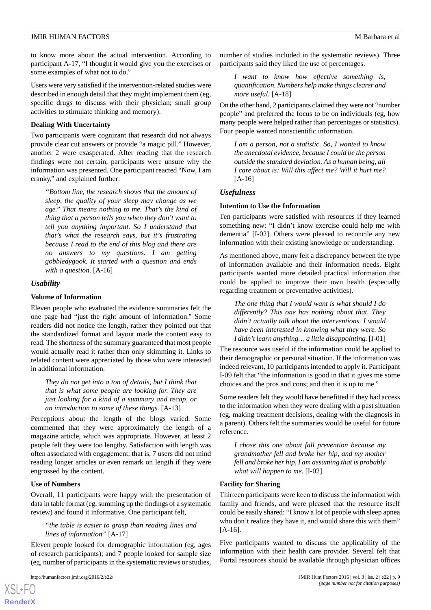to know more about the actual intervention. According to participant A-17, "I thought it would give you the exercises or some examples of what not to do."

Users were very satisfied if the intervention-related studies were described in enough detail that they might implement them (eg, specific drugs to discuss with their physician; small group activities to stimulate thinking and memory).

#### **Dealing With Uncertainty**

Two participants were cognizant that research did not always provide clear cut answers or provide "a magic pill." However, another 2 were exasperated. After reading that the research findings were not certain, participants were unsure why the information was presented. One participant reacted "Now, I am cranky," and explained further:

*"Bottom line, the research shows that the amount of sleep, the quality of your sleep may change as we age." That means nothing to me. That's the kind of thing that a person tells you when they don't want to tell you anything important. So I understand that that's what the research says, but it's frustrating because I read to the end of this blog and there are no answers to my questions. I am getting gobbledygook. It started with a question and ends with a question.* [A-16]

#### *Usability*

#### **Volume of Information**

Eleven people who evaluated the evidence summaries felt the one page had "just the right amount of information." Some readers did not notice the length, rather they pointed out that the standardized format and layout made the content easy to read. The shortness of the summary guaranteed that most people would actually read it rather than only skimming it. Links to related content were appreciated by those who were interested in additional information.

*They do not get into a ton of details, but I think that that is what some people are looking for. They are just looking for a kind of a summary and recap, or an introduction to some of these things.* [A-13]

Perceptions about the length of the blogs varied. Some commented that they were approximately the length of a magazine article, which was appropriate. However, at least 2 people felt they were too lengthy. Satisfaction with length was often associated with engagement; that is, 7 users did not mind reading longer articles or even remark on length if they were engrossed by the content.

#### **Use of Numbers**

Overall, 11 participants were happy with the presentation of data in table format (eg, summing up the findings of a systematic review) and found it informative. One participant felt,

# *"the table is easier to grasp than reading lines and lines of information"* [A-17]

Eleven people looked for demographic information (eg, ages of research participants); and 7 people looked for sample size (eg, number of participants in the systematic reviews or studies,

[XSL](http://www.w3.org/Style/XSL)•FO **[RenderX](http://www.renderx.com/)**

number of studies included in the systematic reviews). Three participants said they liked the use of percentages.

*I want to know how effective something is, quantification. Numbers help make things clearer and more useful.* [A-18]

On the other hand, 2 participants claimed they were not "number people" and preferred the focus to be on individuals (eg, how many people were helped rather than percentages or statistics). Four people wanted nonscientific information.

*I am a person, not a statistic. So, I wanted to know the anecdotal evidence, because I could be the person outside the standard deviation. As a human being, all I care about is: Will this affect me? Will it hurt me?* [A-16]

#### *Usefulness*

#### **Intention to Use the Information**

Ten participants were satisfied with resources if they learned something new: "I didn't know exercise could help me with dementia" [I-02]. Others were pleased to reconcile any new information with their existing knowledge or understanding.

As mentioned above, many felt a discrepancy between the type of information available and their information needs. Eight participants wanted more detailed practical information that could be applied to improve their own health (especially regarding treatment or preventative activities).

*The one thing that I would want is what should I do differently? This one has nothing about that. They didn't actually talk about the interventions. I would have been interested in knowing what they were. So I didn't learn anything… a little disappointing.* [I-01]

The resource was useful if the information could be applied to their demographic or personal situation. If the information was indeed relevant, 10 participants intended to apply it. Participant I-09 felt that "the information is good in that it gives me some choices and the pros and cons; and then it is up to me."

Some readers felt they would have benefitted if they had access to the information when they were dealing with a past situation (eg, making treatment decisions, dealing with the diagnosis in a parent). Others felt the summaries would be useful for future reference.

*I chose this one about fall prevention because my grandmother fell and broke her hip, and my mother fell and broke her hip, I am assuming that is probably what will happen to me.* [I-02]

#### **Facility for Sharing**

Thirteen participants were keen to discuss the information with family and friends, and were pleased that the resource itself could be easily shared: "I know a lot of people with sleep apnea who don't realize they have it, and would share this with them" [A-16].

Five participants wanted to discuss the applicability of the information with their health care provider. Several felt that Portal resources should be available through physician offices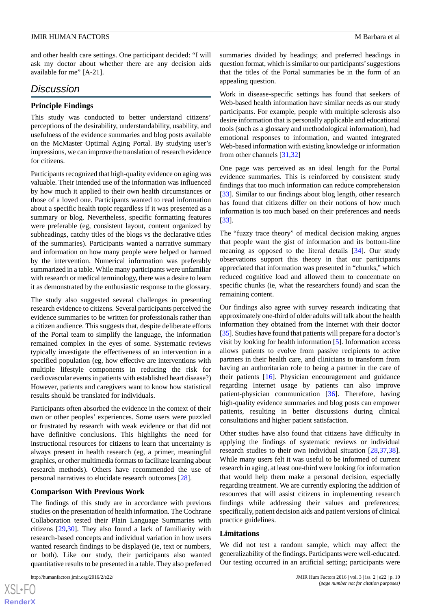and other health care settings. One participant decided: "I will ask my doctor about whether there are any decision aids available for me" [A-21].

# *Discussion*

# **Principle Findings**

This study was conducted to better understand citizens' perceptions of the desirability, understandability, usability, and usefulness of the evidence summaries and blog posts available on the McMaster Optimal Aging Portal. By studying user's impressions, we can improve the translation of research evidence for citizens.

Participants recognized that high-quality evidence on aging was valuable. Their intended use of the information was influenced by how much it applied to their own health circumstances or those of a loved one. Participants wanted to read information about a specific health topic regardless if it was presented as a summary or blog. Nevertheless, specific formatting features were preferable (eg, consistent layout, content organized by subheadings, catchy titles of the blogs vs the declarative titles of the summaries). Participants wanted a narrative summary and information on how many people were helped or harmed by the intervention. Numerical information was preferably summarized in a table. While many participants were unfamiliar with research or medical terminology, there was a desire to learn it as demonstrated by the enthusiastic response to the glossary.

The study also suggested several challenges in presenting research evidence to citizens. Several participants perceived the evidence summaries to be written for professionals rather than a citizen audience. This suggests that, despite deliberate efforts of the Portal team to simplify the language, the information remained complex in the eyes of some. Systematic reviews typically investigate the effectiveness of an intervention in a specified population (eg, how effective are interventions with multiple lifestyle components in reducing the risk for cardiovascular events in patients with established heart disease?) However, patients and caregivers want to know how statistical results should be translated for individuals.

Participants often absorbed the evidence in the context of their own or other peoples' experiences. Some users were puzzled or frustrated by research with weak evidence or that did not have definitive conclusions. This highlights the need for instructional resources for citizens to learn that uncertainty is always present in health research (eg, a primer, meaningful graphics, or other multimedia formats to facilitate learning about research methods). Others have recommended the use of personal narratives to elucidate research outcomes [\[28](#page-11-16)].

#### **Comparison With Previous Work**

The findings of this study are in accordance with previous studies on the presentation of health information. The Cochrane Collaboration tested their Plain Language Summaries with citizens [[29,](#page-11-17)[30](#page-11-18)]. They also found a lack of familiarity with research-based concepts and individual variation in how users wanted research findings to be displayed (ie, text or numbers, or both). Like our study, their participants also wanted quantitative results to be presented in a table. They also preferred

summaries divided by headings; and preferred headings in question format, which is similar to our participants'suggestions that the titles of the Portal summaries be in the form of an appealing question.

Work in disease-specific settings has found that seekers of Web-based health information have similar needs as our study participants. For example, people with multiple sclerosis also desire information that is personally applicable and educational tools (such as a glossary and methodological information), had emotional responses to information, and wanted integrated Web-based information with existing knowledge or information from other channels [\[31](#page-11-19),[32\]](#page-11-20)

One page was perceived as an ideal length for the Portal evidence summaries. This is reinforced by consistent study findings that too much information can reduce comprehension [[33\]](#page-11-21). Similar to our findings about blog length, other research has found that citizens differ on their notions of how much information is too much based on their preferences and needs [[33\]](#page-11-21).

The "fuzzy trace theory" of medical decision making argues that people want the gist of information and its bottom-line meaning as opposed to the literal details [\[34](#page-11-22)]. Our study observations support this theory in that our participants appreciated that information was presented in "chunks," which reduced cognitive load and allowed them to concentrate on specific chunks (ie, what the researchers found) and scan the remaining content.

Our findings also agree with survey research indicating that approximately one-third of older adults will talk about the health information they obtained from the Internet with their doctor [[35\]](#page-11-23). Studies have found that patients will prepare for a doctor's visit by looking for health information [[5](#page-10-4)]. Information access allows patients to evolve from passive recipients to active partners in their health care, and clinicians to transform from having an authoritarian role to being a partner in the care of their patients [\[16](#page-11-4)]. Physician encouragement and guidance regarding Internet usage by patients can also improve patient-physician communication [\[36](#page-11-24)]. Therefore, having high-quality evidence summaries and blog posts can empower patients, resulting in better discussions during clinical consultations and higher patient satisfaction.

Other studies have also found that citizens have difficulty in applying the findings of systematic reviews or individual research studies to their own individual situation [[28](#page-11-16)[,37](#page-12-0),[38\]](#page-12-1). While many users felt it was useful to be informed of current research in aging, at least one-third were looking for information that would help them make a personal decision, especially regarding treatment. We are currently exploring the addition of resources that will assist citizens in implementing research findings while addressing their values and preferences; specifically, patient decision aids and patient versions of clinical practice guidelines.

#### **Limitations**

We did not test a random sample, which may affect the generalizability of the findings. Participants were well-educated. Our testing occurred in an artificial setting; participants were

 $XS$ -FO **[RenderX](http://www.renderx.com/)**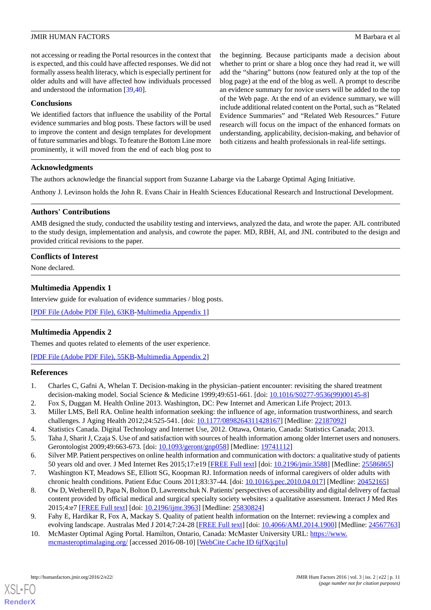not accessing or reading the Portal resources in the context that is expected, and this could have affected responses. We did not formally assess health literacy, which is especially pertinent for older adults and will have affected how individuals processed and understood the information [\[39](#page-12-2),[40\]](#page-12-3).

#### **Conclusions**

We identified factors that influence the usability of the Portal evidence summaries and blog posts. These factors will be used to improve the content and design templates for development of future summaries and blogs. To feature the Bottom Line more prominently, it will moved from the end of each blog post to

the beginning. Because participants made a decision about whether to print or share a blog once they had read it, we will add the "sharing" buttons (now featured only at the top of the blog page) at the end of the blog as well. A prompt to describe an evidence summary for novice users will be added to the top of the Web page. At the end of an evidence summary, we will include additional related content on the Portal, such as "Related Evidence Summaries" and "Related Web Resources." Future research will focus on the impact of the enhanced formats on understanding, applicability, decision-making, and behavior of both citizens and health professionals in real-life settings.

#### **Acknowledgments**

The authors acknowledge the financial support from Suzanne Labarge via the Labarge Optimal Aging Initiative.

Anthony J. Levinson holds the John R. Evans Chair in Health Sciences Educational Research and Instructional Development.

#### **Authors' Contributions**

AMB designed the study, conducted the usability testing and interviews, analyzed the data, and wrote the paper. AJL contributed to the study design, implementation and analysis, and cowrote the paper. MD, RBH, AI, and JNL contributed to the design and provided critical revisions to the paper.

# <span id="page-10-10"></span>**Conflicts of Interest**

None declared.

# **Multimedia Appendix 1**

<span id="page-10-11"></span>Interview guide for evaluation of evidence summaries / blog posts.

[[PDF File \(Adobe PDF File\), 63KB-Multimedia Appendix 1](https://jmir.org/api/download?alt_name=humanfactors_v3i2e22_app1.pdf&filename=ccae5f9f2549b80b3b501f4080f588f9.pdf)]

# **Multimedia Appendix 2**

<span id="page-10-0"></span>Themes and quotes related to elements of the user experience.

<span id="page-10-1"></span>[[PDF File \(Adobe PDF File\), 55KB-Multimedia Appendix 2](https://jmir.org/api/download?alt_name=humanfactors_v3i2e22_app2.pdf&filename=6c9cdf5114c8dae17557788736ba2360.pdf)]

#### <span id="page-10-2"></span>**References**

- <span id="page-10-3"></span>1. Charles C, Gafni A, Whelan T. Decision-making in the physician–patient encounter: revisiting the shared treatment decision-making model. Social Science & Medicine 1999;49:651-661. [doi: [10.1016/S0277-9536\(99\)00145-8\]](http://dx.doi.org/10.1016/S0277-9536(99)00145-8)
- <span id="page-10-4"></span>2. Fox S, Duggan M. Health Online 2013. Washington, DC: Pew Internet and American Life Project; 2013.
- <span id="page-10-5"></span>3. Miller LMS, Bell RA. Online health information seeking: the influence of age, information trustworthiness, and search challenges. J Aging Health 2012;24:525-541. [doi: [10.1177/0898264311428167](http://dx.doi.org/10.1177/0898264311428167)] [Medline: [22187092](http://www.ncbi.nlm.nih.gov/entrez/query.fcgi?cmd=Retrieve&db=PubMed&list_uids=22187092&dopt=Abstract)]
- <span id="page-10-6"></span>4. Statistics Canada. Digital Technology and Internet Use, 2012. Ottawa, Ontario, Canada: Statistics Canada; 2013.
- <span id="page-10-7"></span>5. Taha J, Sharit J, Czaja S. Use of and satisfaction with sources of health information among older Internet users and nonusers. Gerontologist 2009;49:663-673. [doi: [10.1093/geront/gnp058\]](http://dx.doi.org/10.1093/geront/gnp058) [Medline: [19741112\]](http://www.ncbi.nlm.nih.gov/entrez/query.fcgi?cmd=Retrieve&db=PubMed&list_uids=19741112&dopt=Abstract)
- 6. Silver MP. Patient perspectives on online health information and communication with doctors: a qualitative study of patients 50 years old and over. J Med Internet Res 2015;17:e19 [[FREE Full text](http://www.jmir.org/2015/1/e19/)] [doi: [10.2196/jmir.3588](http://dx.doi.org/10.2196/jmir.3588)] [Medline: [25586865](http://www.ncbi.nlm.nih.gov/entrez/query.fcgi?cmd=Retrieve&db=PubMed&list_uids=25586865&dopt=Abstract)]
- <span id="page-10-8"></span>7. Washington KT, Meadows SE, Elliott SG, Koopman RJ. Information needs of informal caregivers of older adults with chronic health conditions. Patient Educ Couns 2011;83:37-44. [doi: [10.1016/j.pec.2010.04.017](http://dx.doi.org/10.1016/j.pec.2010.04.017)] [Medline: [20452165\]](http://www.ncbi.nlm.nih.gov/entrez/query.fcgi?cmd=Retrieve&db=PubMed&list_uids=20452165&dopt=Abstract)
- <span id="page-10-9"></span>8. Ow D, Wetherell D, Papa N, Bolton D, Lawrentschuk N. Patients' perspectives of accessibility and digital delivery of factual content provided by official medical and surgical specialty society websites: a qualitative assessment. Interact J Med Res 2015;4:e7 [\[FREE Full text\]](http://www.i-jmr.org/2015/1/e7/) [doi: [10.2196/ijmr.3963\]](http://dx.doi.org/10.2196/ijmr.3963) [Medline: [25830824\]](http://www.ncbi.nlm.nih.gov/entrez/query.fcgi?cmd=Retrieve&db=PubMed&list_uids=25830824&dopt=Abstract)
- 9. Fahy E, Hardikar R, Fox A, Mackay S. Quality of patient health information on the Internet: reviewing a complex and evolving landscape. Australas Med J 2014;7:24-28 [\[FREE Full text\]](http://europepmc.org/abstract/MED/24567763) [doi: [10.4066/AMJ.2014.1900\]](http://dx.doi.org/10.4066/AMJ.2014.1900) [Medline: [24567763](http://www.ncbi.nlm.nih.gov/entrez/query.fcgi?cmd=Retrieve&db=PubMed&list_uids=24567763&dopt=Abstract)]
- 10. McMaster Optimal Aging Portal. Hamilton, Ontario, Canada: McMaster University URL: [https://www.](https://www.mcmasteroptimalaging.org/) [mcmasteroptimalaging.org/](https://www.mcmasteroptimalaging.org/) [accessed 2016-08-10] [[WebCite Cache ID 6jfXqcj1u](http://www.webcitation.org/

                                6jfXqcj1u)]

[XSL](http://www.w3.org/Style/XSL)•FO **[RenderX](http://www.renderx.com/)**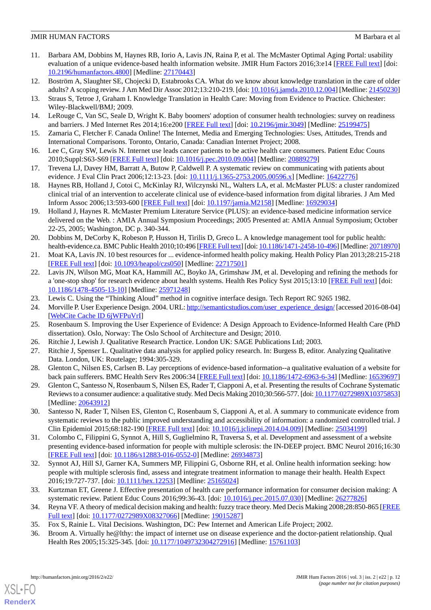- <span id="page-11-0"></span>11. Barbara AM, Dobbins M, Haynes RB, Iorio A, Lavis JN, Raina P, et al. The McMaster Optimal Aging Portal: usability evaluation of a unique evidence-based health information website. JMIR Hum Factors 2016;3:e14 [\[FREE Full text\]](http://humanfactors.jmir.org/2016/1/e14/) [doi: [10.2196/humanfactors.4800\]](http://dx.doi.org/10.2196/humanfactors.4800) [Medline: [27170443](http://www.ncbi.nlm.nih.gov/entrez/query.fcgi?cmd=Retrieve&db=PubMed&list_uids=27170443&dopt=Abstract)]
- <span id="page-11-2"></span><span id="page-11-1"></span>12. Boström A, Slaughter SE, Chojecki D, Estabrooks CA. What do we know about knowledge translation in the care of older adults? A scoping review. J Am Med Dir Assoc 2012;13:210-219. [doi: [10.1016/j.jamda.2010.12.004](http://dx.doi.org/10.1016/j.jamda.2010.12.004)] [Medline: [21450230\]](http://www.ncbi.nlm.nih.gov/entrez/query.fcgi?cmd=Retrieve&db=PubMed&list_uids=21450230&dopt=Abstract)
- <span id="page-11-3"></span>13. Straus S, Tetroe J, Graham I. Knowledge Translation in Health Care: Moving from Evidence to Practice. Chichester: Wiley-Blackwell/BMJ; 2009.
- 14. LeRouge C, Van SC, Seale D, Wright K. Baby boomers' adoption of consumer health technologies: survey on readiness and barriers. J Med Internet Res 2014;16:e200 [\[FREE Full text\]](http://www.jmir.org/2014/9/e200/) [doi: [10.2196/jmir.3049\]](http://dx.doi.org/10.2196/jmir.3049) [Medline: [25199475\]](http://www.ncbi.nlm.nih.gov/entrez/query.fcgi?cmd=Retrieve&db=PubMed&list_uids=25199475&dopt=Abstract)
- <span id="page-11-4"></span>15. Zamaria C, Fletcher F. Canada Online! The Internet, Media and Emerging Technologies: Uses, Attitudes, Trends and International Comparisons. Toronto, Ontario, Canada: Canadian Internet Project; 2008.
- <span id="page-11-5"></span>16. Lee C, Gray SW, Lewis N. Internet use leads cancer patients to be active health care consumers. Patient Educ Couns 2010;Suppl:S63-S69 [[FREE Full text](http://europepmc.org/abstract/MED/20889279)] [doi: [10.1016/j.pec.2010.09.004](http://dx.doi.org/10.1016/j.pec.2010.09.004)] [Medline: [20889279](http://www.ncbi.nlm.nih.gov/entrez/query.fcgi?cmd=Retrieve&db=PubMed&list_uids=20889279&dopt=Abstract)]
- <span id="page-11-6"></span>17. Trevena LJ, Davey HM, Barratt A, Butow P, Caldwell P. A systematic review on communicating with patients about evidence. J Eval Clin Pract 2006;12:13-23. [doi: [10.1111/j.1365-2753.2005.00596.x](http://dx.doi.org/10.1111/j.1365-2753.2005.00596.x)] [Medline: [16422776](http://www.ncbi.nlm.nih.gov/entrez/query.fcgi?cmd=Retrieve&db=PubMed&list_uids=16422776&dopt=Abstract)]
- <span id="page-11-7"></span>18. Haynes RB, Holland J, Cotoi C, McKinlay RJ, Wilczynski NL, Walters LA, et al. McMaster PLUS: a cluster randomized clinical trial of an intervention to accelerate clinical use of evidence-based information from digital libraries. J Am Med Inform Assoc 2006;13:593-600 [\[FREE Full text\]](http://jamia.oxfordjournals.org/cgi/pmidlookup?view=long&pmid=16929034) [doi: [10.1197/jamia.M2158\]](http://dx.doi.org/10.1197/jamia.M2158) [Medline: [16929034\]](http://www.ncbi.nlm.nih.gov/entrez/query.fcgi?cmd=Retrieve&db=PubMed&list_uids=16929034&dopt=Abstract)
- <span id="page-11-8"></span>19. Holland J, Haynes R. McMaster Premium Literature Service (PLUS): an evidence-based medicine information service delivered on the Web. : AMIA Annual Symposium Proceedings; 2005 Presented at: AMIA Annual Symposium; October 22-25, 2005; Washington, DC p. 340-344.
- <span id="page-11-9"></span>20. Dobbins M, DeCorby K, Robeson P, Husson H, Tirilis D, Greco L. A knowledge management tool for public health: health-evidence.ca. BMC Public Health 2010;10:496 [\[FREE Full text\]](http://bmcpublichealth.biomedcentral.com/articles/10.1186/1471-2458-10-496) [doi: [10.1186/1471-2458-10-496](http://dx.doi.org/10.1186/1471-2458-10-496)] [Medline: [20718970\]](http://www.ncbi.nlm.nih.gov/entrez/query.fcgi?cmd=Retrieve&db=PubMed&list_uids=20718970&dopt=Abstract)
- <span id="page-11-10"></span>21. Moat KA, Lavis JN. 10 best resources for ... evidence-informed health policy making. Health Policy Plan 2013;28:215-218 [[FREE Full text](http://heapol.oxfordjournals.org/cgi/pmidlookup?view=long&pmid=22717501)] [doi: [10.1093/heapol/czs050\]](http://dx.doi.org/10.1093/heapol/czs050) [Medline: [22717501\]](http://www.ncbi.nlm.nih.gov/entrez/query.fcgi?cmd=Retrieve&db=PubMed&list_uids=22717501&dopt=Abstract)
- <span id="page-11-12"></span><span id="page-11-11"></span>22. Lavis JN, Wilson MG, Moat KA, Hammill AC, Boyko JA, Grimshaw JM, et al. Developing and refining the methods for a 'one-stop shop' for research evidence about health systems. Health Res Policy Syst 2015;13:10 [\[FREE Full text\]](http://health-policy-systems.biomedcentral.com/articles/10.1186/1478-4505-13-10) [doi: [10.1186/1478-4505-13-10\]](http://dx.doi.org/10.1186/1478-4505-13-10) [Medline: [25971248\]](http://www.ncbi.nlm.nih.gov/entrez/query.fcgi?cmd=Retrieve&db=PubMed&list_uids=25971248&dopt=Abstract)
- <span id="page-11-13"></span>23. Lewis C. Using the "Thinking Aloud" method in cognitive interface design. Tech Report RC 9265 1982.
- <span id="page-11-15"></span><span id="page-11-14"></span>24. Morville P. User Experience Design. 2004. URL: [http://semanticstudios.com/user\\_experience\\_design/](http://semanticstudios.com/user_experience_design/) [accessed 2016-08-04] [[WebCite Cache ID 6jWFPuVrI\]](http://www.webcitation.org/

                                6jWFPuVrI)
- <span id="page-11-16"></span>25. Rosenbaum S. Improving the User Experience of Evidence: A Design Approach to Evidence-Informed Health Care (PhD dissertation). Oslo, Norway: The Oslo School of Architecture and Design; 2010.
- 26. Ritchie J, Lewish J. Qualitative Research Practice. London UK: SAGE Publications Ltd; 2003.
- <span id="page-11-17"></span>27. Ritchie J, Spenser L. Qualitative data analysis for applied policy research. In: Burgess B, editor. Analyzing Qualitative Data. London, UK: Routelage; 1994:305-329.
- <span id="page-11-18"></span>28. Glenton C, Nilsen ES, Carlsen B. Lay perceptions of evidence-based information--a qualitative evaluation of a website for back pain sufferers. BMC Health Serv Res 2006:34 [[FREE Full text](http://bmchealthservres.biomedcentral.com/articles/10.1186/1472-6963-6-34)] [doi: [10.1186/1472-6963-6-34](http://dx.doi.org/10.1186/1472-6963-6-34)] [Medline: [16539697](http://www.ncbi.nlm.nih.gov/entrez/query.fcgi?cmd=Retrieve&db=PubMed&list_uids=16539697&dopt=Abstract)]
- <span id="page-11-19"></span>29. Glenton C, Santesso N, Rosenbaum S, Nilsen ES, Rader T, Ciapponi A, et al. Presenting the results of Cochrane Systematic Reviews to a consumer audience: a qualitative study. Med Decis Making 2010;30:566-577. [doi: [10.1177/0272989X10375853\]](http://dx.doi.org/10.1177/0272989X10375853) [Medline: [20643912](http://www.ncbi.nlm.nih.gov/entrez/query.fcgi?cmd=Retrieve&db=PubMed&list_uids=20643912&dopt=Abstract)]
- <span id="page-11-20"></span>30. Santesso N, Rader T, Nilsen ES, Glenton C, Rosenbaum S, Ciapponi A, et al. A summary to communicate evidence from systematic reviews to the public improved understanding and accessibility of information: a randomized controlled trial. J Clin Epidemiol 2015;68:182-190 [\[FREE Full text\]](http://linkinghub.elsevier.com/retrieve/pii/S0895-4356(14)00213-3) [doi: [10.1016/j.jclinepi.2014.04.009\]](http://dx.doi.org/10.1016/j.jclinepi.2014.04.009) [Medline: [25034199\]](http://www.ncbi.nlm.nih.gov/entrez/query.fcgi?cmd=Retrieve&db=PubMed&list_uids=25034199&dopt=Abstract)
- <span id="page-11-21"></span>31. Colombo C, Filippini G, Synnot A, Hill S, Guglielmino R, Traversa S, et al. Development and assessment of a website presenting evidence-based information for people with multiple sclerosis: the IN-DEEP project. BMC Neurol 2016;16:30 [[FREE Full text](http://bmcneurol.biomedcentral.com/articles/10.1186/s12883-016-0552-0)] [doi: [10.1186/s12883-016-0552-0\]](http://dx.doi.org/10.1186/s12883-016-0552-0) [Medline: [26934873](http://www.ncbi.nlm.nih.gov/entrez/query.fcgi?cmd=Retrieve&db=PubMed&list_uids=26934873&dopt=Abstract)]
- <span id="page-11-23"></span><span id="page-11-22"></span>32. Synnot AJ, Hill SJ, Garner KA, Summers MP, Filippini G, Osborne RH, et al. Online health information seeking: how people with multiple sclerosis find, assess and integrate treatment information to manage their health. Health Expect 2016;19:727-737. [doi: [10.1111/hex.12253\]](http://dx.doi.org/10.1111/hex.12253) [Medline: [25165024\]](http://www.ncbi.nlm.nih.gov/entrez/query.fcgi?cmd=Retrieve&db=PubMed&list_uids=25165024&dopt=Abstract)
- <span id="page-11-24"></span>33. Kurtzman ET, Greene J. Effective presentation of health care performance information for consumer decision making: A systematic review. Patient Educ Couns 2016;99:36-43. [doi: [10.1016/j.pec.2015.07.030\]](http://dx.doi.org/10.1016/j.pec.2015.07.030) [Medline: [26277826\]](http://www.ncbi.nlm.nih.gov/entrez/query.fcgi?cmd=Retrieve&db=PubMed&list_uids=26277826&dopt=Abstract)
- 34. Reyna VF. A theory of medical decision making and health: fuzzy trace theory. Med Decis Making 2008;28:850-865 [\[FREE](http://europepmc.org/abstract/MED/19015287) [Full text\]](http://europepmc.org/abstract/MED/19015287) [doi: [10.1177/0272989X08327066\]](http://dx.doi.org/10.1177/0272989X08327066) [Medline: [19015287](http://www.ncbi.nlm.nih.gov/entrez/query.fcgi?cmd=Retrieve&db=PubMed&list_uids=19015287&dopt=Abstract)]
- 35. Fox S, Rainie L. Vital Decisions. Washington, DC: Pew Internet and American Life Project; 2002.
- 36. Broom A. Virtually he@lthy: the impact of internet use on disease experience and the doctor-patient relationship. Qual Health Res 2005;15:325-345. [doi: [10.1177/1049732304272916\]](http://dx.doi.org/10.1177/1049732304272916) [Medline: [15761103\]](http://www.ncbi.nlm.nih.gov/entrez/query.fcgi?cmd=Retrieve&db=PubMed&list_uids=15761103&dopt=Abstract)

[XSL](http://www.w3.org/Style/XSL)•FO **[RenderX](http://www.renderx.com/)**